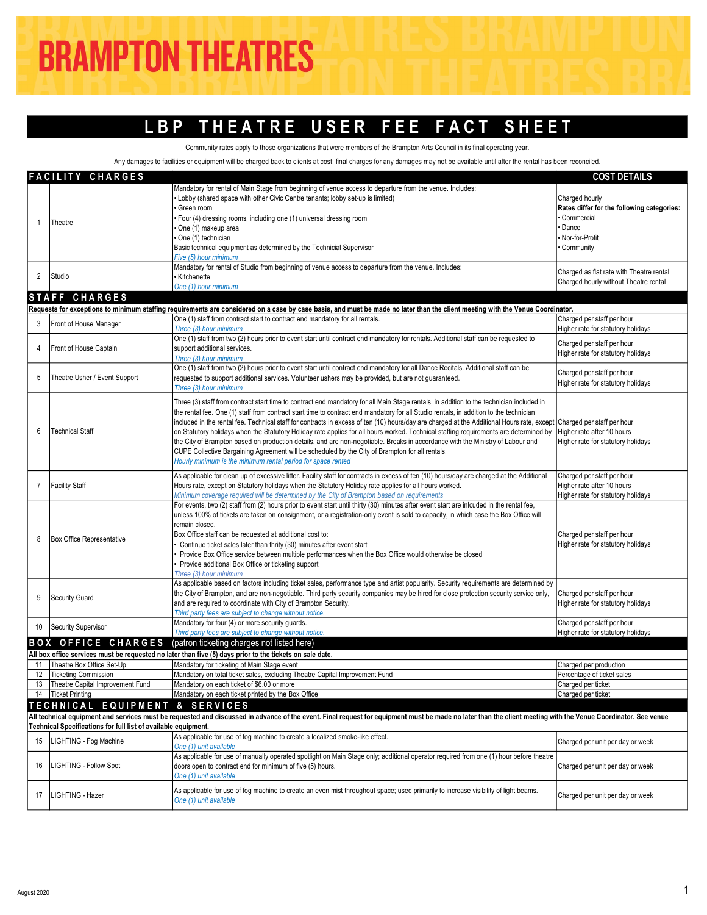## LBP THEATRE USER FEE FACT SHEET

Community rates apply to those organizations that were members of the Brampton Arts Council in its final operating year.

Any damages to facilities or equipment will be charged back to clients at cost; final charges for any damages may not be available until after the rental has been reconciled

|                | <b>FACILITY CHARGES</b>                                        |                                                                                                                                                                                                               | <b>COST DETAILS</b>                        |
|----------------|----------------------------------------------------------------|---------------------------------------------------------------------------------------------------------------------------------------------------------------------------------------------------------------|--------------------------------------------|
|                |                                                                | Mandatory for rental of Main Stage from beginning of venue access to departure from the venue. Includes:                                                                                                      |                                            |
|                |                                                                | Lobby (shared space with other Civic Centre tenants; lobby set-up is limited)                                                                                                                                 | Charged hourly                             |
|                |                                                                | Green room                                                                                                                                                                                                    | Rates differ for the following categories: |
| 1              |                                                                | Four (4) dressing rooms, including one (1) universal dressing room                                                                                                                                            | Commercial                                 |
|                | Theatre                                                        | One (1) makeup area                                                                                                                                                                                           | Dance                                      |
|                |                                                                | One (1) technician                                                                                                                                                                                            | Nor-for-Profit                             |
|                |                                                                | Basic technical equipment as determined by the Technicial Supervisor                                                                                                                                          | Community                                  |
|                |                                                                | Five (5) hour minimum                                                                                                                                                                                         |                                            |
|                |                                                                | Mandatory for rental of Studio from beginning of venue access to departure from the venue. Includes:                                                                                                          |                                            |
| 2              | Studio                                                         | Kitchenette                                                                                                                                                                                                   | Charged as flat rate with Theatre rental   |
|                |                                                                | One (1) hour minimum                                                                                                                                                                                          | Charged hourly without Theatre rental      |
|                | STAFF CHARGES                                                  |                                                                                                                                                                                                               |                                            |
|                |                                                                |                                                                                                                                                                                                               |                                            |
|                |                                                                | Requests for exceptions to minimum staffing requirements are considered on a case by case basis, and must be made no later than the client meeting with the Venue Coordinator.                                |                                            |
| 3              | Front of House Manager                                         | One (1) staff from contract start to contract end mandatory for all rentals.                                                                                                                                  | Charged per staff per hour                 |
|                |                                                                | Three (3) hour minimum                                                                                                                                                                                        | Higher rate for statutory holidays         |
|                |                                                                | One (1) staff from two (2) hours prior to event start until contract end mandatory for rentals. Additional staff can be requested to                                                                          | Charged per staff per hour                 |
| 4              | Front of House Captain                                         | support additional services.                                                                                                                                                                                  | Higher rate for statutory holidays         |
|                |                                                                | Three (3) hour minimum                                                                                                                                                                                        |                                            |
|                |                                                                | One (1) staff from two (2) hours prior to event start until contract end mandatory for all Dance Recitals. Additional staff can be                                                                            | Charged per staff per hour                 |
| 5              | Theatre Usher / Event Support                                  | requested to support additional services. Volunteer ushers may be provided, but are not guaranteed.                                                                                                           | Higher rate for statutory holidays         |
|                |                                                                | Three (3) hour minimum                                                                                                                                                                                        |                                            |
|                |                                                                | Three (3) staff from contract start time to contract end mandatory for all Main Stage rentals, in addition to the technician included in                                                                      |                                            |
|                |                                                                | the rental fee. One (1) staff from contract start time to contract end mandatory for all Studio rentals, in addition to the technician                                                                        |                                            |
|                |                                                                | included in the rental fee. Technical staff for contracts in excess of ten (10) hours/day are charged at the Additional Hours rate, except Charged per staff per hour                                         |                                            |
| 6              | <b>Technical Staff</b>                                         | on Statutory holidays when the Statutory Holiday rate applies for all hours worked. Technical staffing requirements are determined by                                                                         | Higher rate after 10 hours                 |
|                |                                                                |                                                                                                                                                                                                               |                                            |
|                |                                                                | the City of Brampton based on production details, and are non-negotiable. Breaks in accordance with the Ministry of Labour and                                                                                | Higher rate for statutory holidays         |
|                |                                                                | CUPE Collective Bargaining Agreement will be scheduled by the City of Brampton for all rentals.                                                                                                               |                                            |
|                |                                                                | Hourly minimum is the minimum rental period for space rented                                                                                                                                                  |                                            |
|                |                                                                | As applicable for clean up of excessive litter. Facility staff for contracts in excess of ten (10) hours/day are charged at the Additional                                                                    | Charged per staff per hour                 |
| $\overline{7}$ | Facility Staff                                                 | Hours rate, except on Statutory holidays when the Statutory Holiday rate applies for all hours worked.                                                                                                        | Higher rate after 10 hours                 |
|                |                                                                | Minimum coverage required will be determined by the City of Brampton based on requirements                                                                                                                    | Higher rate for statutory holidays         |
|                |                                                                | For events, two (2) staff from (2) hours prior to event start until thirty (30) minutes after event start are inlcuded in the rental fee,                                                                     |                                            |
|                |                                                                | unless 100% of tickets are taken on consignment, or a registration-only event is sold to capacity, in which case the Box Office will                                                                          |                                            |
|                |                                                                | remain closed.                                                                                                                                                                                                |                                            |
|                |                                                                | Box Office staff can be requested at additional cost to:                                                                                                                                                      | Charged per staff per hour                 |
| 8              | Box Office Representative                                      |                                                                                                                                                                                                               |                                            |
|                |                                                                | Continue ticket sales later than thrity (30) minutes after event start                                                                                                                                        | Higher rate for statutory holidays         |
|                |                                                                | Provide Box Office service between multiple performances when the Box Office would otherwise be closed                                                                                                        |                                            |
|                |                                                                | Provide additional Box Office or ticketing support                                                                                                                                                            |                                            |
|                |                                                                | Three (3) hour minimum                                                                                                                                                                                        |                                            |
|                |                                                                | As applicable based on factors including ticket sales, performance type and artist popularity. Security requirements are determined by                                                                        |                                            |
| 9              | Security Guard                                                 | the City of Brampton, and are non-negotiable. Third party security companies may be hired for close protection security service only,                                                                         | Charged per staff per hour                 |
|                |                                                                | and are required to coordinate with City of Brampton Security.                                                                                                                                                | Higher rate for statutory holidays         |
|                |                                                                | Third party fees are subject to change without notice.                                                                                                                                                        |                                            |
| 10             | Security Supervisor                                            | Mandatory for four (4) or more security guards.                                                                                                                                                               | Charged per staff per hour                 |
|                |                                                                | Third party fees are subject to change without notice.                                                                                                                                                        | Higher rate for statutory holidays         |
|                | <b>BOX OFFICE CHARGES</b>                                      | (patron ticketing charges not listed here)                                                                                                                                                                    |                                            |
|                |                                                                | All box office services must be requested no later than five (5) days prior to the tickets on sale date.                                                                                                      |                                            |
| 11             | Theatre Box Office Set-Up                                      | Mandatory for ticketing of Main Stage event                                                                                                                                                                   | Charged per production                     |
| 12             | Ticketing Commission                                           | Mandatory on total ticket sales, excluding Theatre Capital Improvement Fund                                                                                                                                   | Percentage of ticket sales                 |
|                | 13   Theatre Capital Improvement Fund                          | Mandatory on each ticket of \$6.00 or more                                                                                                                                                                    | Charged per ticket                         |
|                | 14   Ticket Printing                                           | Mandatory on each ticket printed by the Box Office                                                                                                                                                            | Charged per ticket                         |
|                |                                                                |                                                                                                                                                                                                               |                                            |
|                | TECHNICAL EQUIPMENT                                            | & SERVICES                                                                                                                                                                                                    |                                            |
|                |                                                                | All technical equipment and services must be requested and discussed in advance of the event. Final request for equipment must be made no later than the client meeting with the Venue Coordinator. See venue |                                            |
|                | Technical Specifications for full list of available equipment. |                                                                                                                                                                                                               |                                            |
| 15             | LIGHTING - Fog Machine                                         | As applicable for use of fog machine to create a localized smoke-like effect.                                                                                                                                 | Charged per unit per day or week           |
|                |                                                                | One (1) unit available                                                                                                                                                                                        |                                            |
|                |                                                                | As applicable for use of manually operated spotlight on Main Stage only; additional operator required from one (1) hour before theatre                                                                        |                                            |
| 16             | LIGHTING - Follow Spot                                         | doors open to contract end for minimum of five (5) hours.                                                                                                                                                     | Charged per unit per day or week           |
|                |                                                                | One (1) unit available                                                                                                                                                                                        |                                            |
|                |                                                                |                                                                                                                                                                                                               |                                            |
| 17             | LIGHTING - Hazer                                               | As applicable for use of fog machine to create an even mist throughout space; used primarily to increase visibility of light beams.                                                                           | Charged per unit per day or week           |
|                |                                                                | One (1) unit available                                                                                                                                                                                        |                                            |